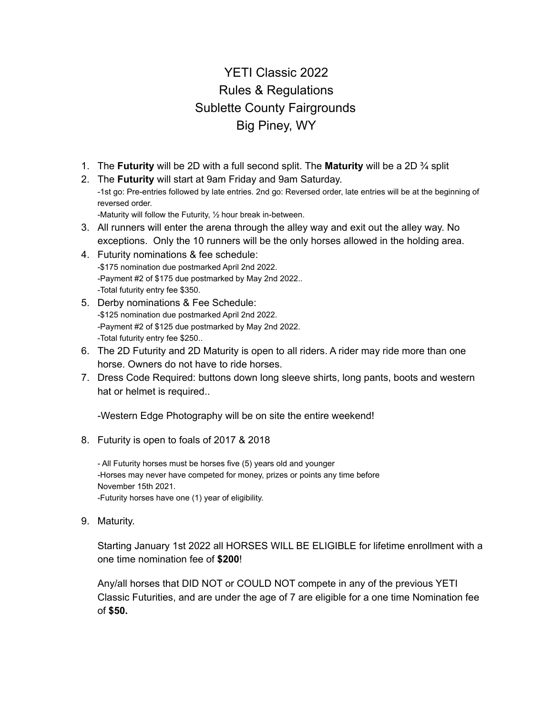# YETI Classic 2022 Rules & Regulations Sublette County Fairgrounds Big Piney, WY

- 1. The **Futurity** will be 2D with a full second split. The **Maturity** will be a 2D ¾ split
- 2. The **Futurity** will start at 9am Friday and 9am Saturday. -1st go: Pre-entries followed by late entries. 2nd go: Reversed order, late entries will be at the beginning of reversed order.

-Maturity will follow the Futurity, ½ hour break in-between.

- 3. All runners will enter the arena through the alley way and exit out the alley way. No exceptions. Only the 10 runners will be the only horses allowed in the holding area.
- 4. Futurity nominations & fee schedule: -\$175 nomination due postmarked April 2nd 2022. -Payment #2 of \$175 due postmarked by May 2nd 2022.. -Total futurity entry fee \$350.
- 5. Derby nominations & Fee Schedule: -\$125 nomination due postmarked April 2nd 2022. -Payment #2 of \$125 due postmarked by May 2nd 2022. -Total futurity entry fee \$250..
- 6. The 2D Futurity and 2D Maturity is open to all riders. A rider may ride more than one horse. Owners do not have to ride horses.
- 7. Dress Code Required: buttons down long sleeve shirts, long pants, boots and western hat or helmet is required..

-Western Edge Photography will be on site the entire weekend!

8. Futurity is open to foals of 2017 & 2018

- All Futurity horses must be horses five (5) years old and younger -Horses may never have competed for money, prizes or points any time before November 15th 2021. -Futurity horses have one (1) year of eligibility.

9. Maturity.

Starting January 1st 2022 all HORSES WILL BE ELIGIBLE for lifetime enrollment with a one time nomination fee of **\$200**!

Any/all horses that DID NOT or COULD NOT compete in any of the previous YETI Classic Futurities, and are under the age of 7 are eligible for a one time Nomination fee of **\$50.**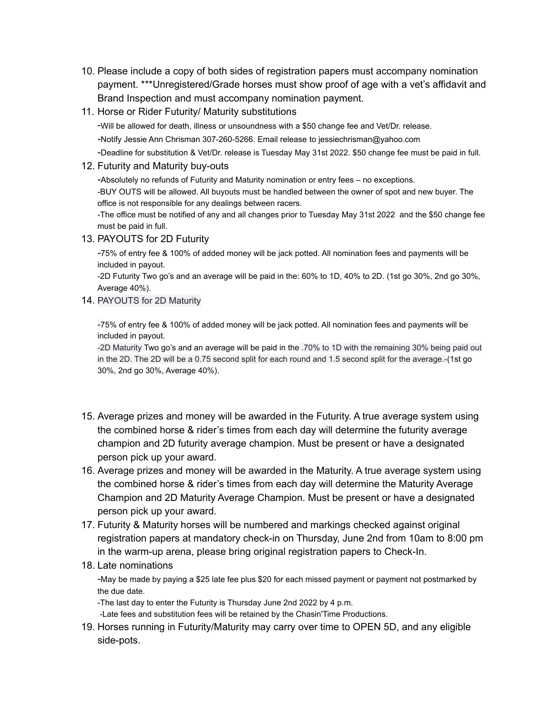- 10. Please include a copy of both sides of registration papers must accompany nomination payment. \*\*\*Unregistered/Grade horses must show proof of age with a vet's affidavit and Brand Inspection and must accompany nomination payment.
- 11. Horse or Rider Futurity/ Maturity substitutions

-Will be allowed for death, illness or unsoundness with a \$50 change fee and Vet/Dr. release.

-Notify Jessie Ann Chrisman 307-260-5266. Email release to jessiechrisman@yahoo.com

-Deadline for substitution & Vet/Dr. release is Tuesday May 31st 2022. \$50 change fee must be paid in full.

## 12. Futurity and Maturity buy-outs

-Absolutely no refunds of Futurity and Maturity nomination or entry fees – no exceptions.

-BUY OUTS will be allowed. All buyouts must be handled between the owner of spot and new buyer. The office is not responsible for any dealings between racers.

-The office must be notified of any and all changes prior to Tuesday May 31st 2022 and the \$50 change fee must be paid in full.

13. PAYOUTS for 2D Futurity

-75% of entry fee & 100% of added money will be jack potted. All nomination fees and payments will be included in payout.

-2D Futurity Two go's and an average will be paid in the: 60% to 1D, 40% to 2D. (1st go 30%, 2nd go 30%, Average 40%).

14. PAYOUTS for 2D Maturity

-75% of entry fee & 100% of added money will be jack potted. All nomination fees and payments will be included in payout.

-2D Maturity Two go's and an average will be paid in the .70% to 1D with the remaining 30% being paid out in the 2D. The 2D will be a 0.75 second split for each round and 1.5 second split for the average.-(1st go 30%, 2nd go 30%, Average 40%).

- 15. Average prizes and money will be awarded in the Futurity. A true average system using the combined horse & rider's times from each day will determine the futurity average champion and 2D futurity average champion. Must be present or have a designated person pick up your award.
- 16. Average prizes and money will be awarded in the Maturity. A true average system using the combined horse & rider's times from each day will determine the Maturity Average Champion and 2D Maturity Average Champion. Must be present or have a designated person pick up your award.
- 17. Futurity & Maturity horses will be numbered and markings checked against original registration papers at mandatory check-in on Thursday, June 2nd from 10am to 8:00 pm in the warm-up arena, please bring original registration papers to Check-In.
- 18. Late nominations

-May be made by paying a \$25 late fee plus \$20 for each missed payment or payment not postmarked by the due date.

-The last day to enter the Futurity is Thursday June 2nd 2022 by 4 p.m.

-Late fees and substitution fees will be retained by the Chasin'Time Productions.

19. Horses running in Futurity/Maturity may carry over time to OPEN 5D, and any eligible side-pots.